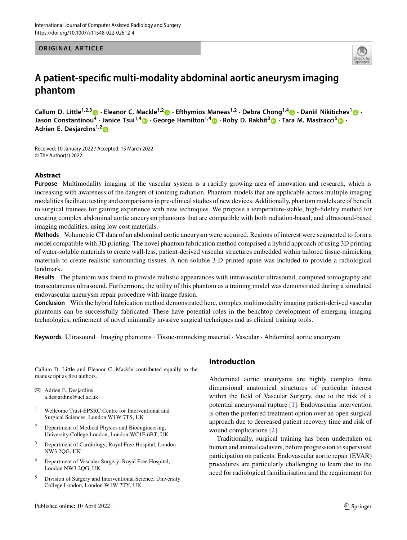**ORIGINAL ARTICLE**



## **A patient-specific multi-modality abdominal aortic aneurysm imaging phantom**

Callum D. Little<sup>1,2,[3](http://orcid.org/0000-0002-2267-0924)</sup> • Eleanor C. Mackle<sup>1,[2](http://orcid.org/0000-0002-8506-8623)</sup> • Efthymios Maneas<sup>1,2</sup> · Debra Chong<sup>1,[4](http://orcid.org/0000-0002-0439-8509)</sup> • Daniil Nikitichev<sup>[1](http://orcid.org/0000-0001-5877-9174)</sup> • **Jason Constantinou<sup>4</sup> · Janice Tsui1,[4](http://orcid.org/0000-0001-6826-4211) · George Hamilton1,[4](http://orcid.org/0000-0003-4962-2348) · Roby D. Rakhit[3](http://orcid.org/0000-0002-0108-8169) · Tara M. Mastracci[5](http://orcid.org/0000-0002-2532-8614) · Adrien E. Desjardins1,[2](http://orcid.org/0000-0002-1932-1811)**

Received: 10 January 2022 / Accepted: 15 March 2022 © The Author(s) 2022

### **Abstract**

**Purpose** Multimodality imaging of the vascular system is a rapidly growing area of innovation and research, which is increasing with awareness of the dangers of ionizing radiation. Phantom models that are applicable across multiple imaging modalities facilitate testing and comparisons in pre-clinical studies of new devices. Additionally, phantom models are of benefit to surgical trainees for gaining experience with new techniques. We propose a temperature-stable, high-fidelity method for creating complex abdominal aortic aneurysm phantoms that are compatible with both radiation-based, and ultrasound-based imaging modalities, using low cost materials.

**Methods** Volumetric CT data of an abdominal aortic aneurysm were acquired. Regions of interest were segmented to form a model compatible with 3D printing. The novel phantom fabrication method comprised a hybrid approach of using 3D printing of water-soluble materials to create wall-less, patient-derived vascular structures embedded within tailored tissue-mimicking materials to create realistic surrounding tissues. A non-soluble 3-D printed spine was included to provide a radiological landmark.

**Results** The phantom was found to provide realistic appearances with intravascular ultrasound, computed tomography and transcutaneous ultrasound. Furthermore, the utility of this phantom as a training model was demonstrated during a simulated endovascular aneurysm repair procedure with image fusion.

**Conclusion** With the hybrid fabrication method demonstrated here, complex multimodality imaging patient-derived vascular phantoms can be successfully fabricated. These have potential roles in the benchtop development of emerging imaging technologies, refinement of novel minimally invasive surgical techniques and as clinical training tools.

**Keywords** Ultrasound · Imaging phantoms · Tissue-mimicking material · Vascular · Abdominal aortic aneurysm

Callum D. Little and Eleanor C. Mackle contributed equally to the manuscript as first authors.

 $\boxtimes$  Adrien E. Desjardins a.desjardins@ucl.ac.uk

- <sup>1</sup> Wellcome Trust-EPSRC Centre for Interventional and Surgical Sciences, London W1W 7TS, UK
- <sup>2</sup> Department of Medical Physics and Bioengineering, University College London, London WC1E 6BT, UK
- <sup>3</sup> Department of Cardiology, Royal Free Hospital, London NW3 2QG, UK
- <sup>4</sup> Department of Vascular Surgery, Royal Free Hospital, London NW3 2QG, UK
- <sup>5</sup> Division of Surgery and Interventional Science, University College London, London W1W 7TY, UK

## **Introduction**

Abdominal aortic aneurysms are highly complex three dimensional anatomical structures of particular interest within the field of Vascular Surgery, due to the risk of a potential aneurysmal rupture [\[1\]](#page-5-0). Endovascular intervention is often the preferred treatment option over an open surgical approach due to decreased patient recovery time and risk of wound complications [\[2\]](#page-5-1).

Traditionally, surgical training has been undertaken on human and animal cadavers, before progression to supervised participation on patients. Endovascular aortic repair (EVAR) procedures are particularly challenging to learn due to the need for radiological familiarisation and the requirement for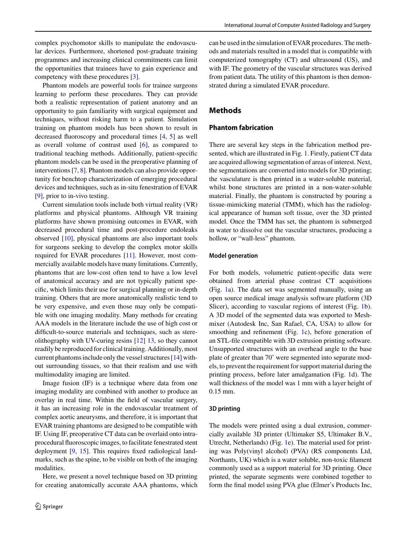Phantom models are powerful tools for trainee surgeons learning to perform these procedures. They can provide both a realistic representation of patient anatomy and an opportunity to gain familiarity with surgical equipment and techniques, without risking harm to a patient. Simulation training on phantom models has been shown to result in decreased fluoroscopy and procedural times [\[4,](#page-5-3) [5\]](#page-5-4) as well as overall volume of contrast used [\[6\]](#page-6-0), as compared to traditional teaching methods. Additionally, patient-specific phantom models can be used in the preoperative planning of interventions [\[7,](#page-6-1) [8\]](#page-6-2). Phantom models can also provide opportunity for benchtop characterization of emerging procedural devices and techniques, such as in-situ fenestration of EVAR [\[9\]](#page-6-3), prior to in-vivo testing.

Current simulation tools include both virtual reality (VR) platforms and physical phantoms. Although VR training platforms have shown promising outcomes in EVAR, with decreased procedural time and post-procedure endoleaks observed [\[10\]](#page-6-4), physical phantoms are also important tools for surgeons seeking to develop the complex motor skills required for EVAR procedures [\[11\]](#page-6-5). However, most commercially available models have many limitations. Currently, phantoms that are low-cost often tend to have a low level of anatomical accuracy and are not typically patient specific, which limits their use for surgical planning or in-depth training. Others that are more anatomically realistic tend to be very expensive, and even those may only be compatible with one imaging modality. Many methods for creating AAA models in the literature include the use of high cost or difficult-to-source materials and techniques, such as stereolithography with UV-curing resins [\[12\]](#page-6-6) [13,](#page-6-6) so they cannot readily be reproduced for clinical training. Additionally, most current phantoms include only the vessel structures [\[14\]](#page-6-7) without surrounding tissues, so that their realism and use with multimodality imaging are limited.

Image fusion (IF) is a technique where data from one imaging modality are combined with another to produce an overlay in real time. Within the field of vascular surgery, it has an increasing role in the endovascular treatment of complex aortic aneurysms, and therefore, it is important that EVAR training phantoms are designed to be compatible with IF. Using IF, preoperative CT data can be overlaid onto intraprocedural fluoroscopic images, to facilitate fenestrated stent deployment [\[9,](#page-6-3) [15\]](#page-6-8). This requires fixed radiological landmarks, such as the spine, to be visible on both of the imaging modalities.

Here, we present a novel technique based on 3D printing for creating anatomically accurate AAA phantoms, which can be used in the simulation of EVAR procedures. The methods and materials resulted in a model that is compatible with computerized tomography (CT) and ultrasound (US), and with IF. The geometry of the vascular structures was derived from patient data. The utility of this phantom is then demonstrated during a simulated EVAR procedure.

## **Methods**

## **Phantom fabrication**

There are several key steps in the fabrication method presented, which are illustrated in Fig. [1.](#page-2-0) Firstly, patient CT data are acquired allowing segmentation of areas of interest. Next, the segmentations are converted into models for 3D printing; the vasculature is then printed in a water-soluble material, whilst bone structures are printed in a non-water-soluble material. Finally, the phantom is constructed by pouring a tissue-mimicking material (TMM), which has the radiological appearance of human soft tissue, over the 3D printed model. Once the TMM has set, the phantom is submerged in water to dissolve out the vascular structures, producing a hollow, or "wall-less" phantom.

#### **Model generation**

For both models, volumetric patient-specific data were obtained from arterial phase contrast CT acquisitions (Fig. [1a](#page-2-0)). The data set was segmented manually, using an open source medical image analysis software platform (3D Slicer), according to vascular regions of interest (Fig. [1b](#page-2-0)). A 3D model of the segmented data was exported to Meshmixer (Autodesk Inc, San Rafael, CA, USA) to allow for smoothing and refinement (Fig. [1c](#page-2-0)), before generation of an STL-file compatible with 3D extrusion printing software. Unsupported structures with an overhead angle to the base plate of greater than 70˚ were segmented into separate models, to prevent the requirement for support material during the printing process, before later amalgamation (Fig. [1d](#page-2-0)). The wall thickness of the model was 1 mm with a layer height of 0.15 mm.

### **3D printing**

The models were printed using a dual extrusion, commercially available 3D printer (Ultimaker S5, Ultimaker B.V., Utrecht, Netherlands) (Fig. [1e](#page-2-0)). The material used for printing was Poly(vinyl alcohol) (PVA) (RS components Ltd, Northants, UK) which is a water soluble, non-toxic filament commonly used as a support material for 3D printing. Once printed, the separate segments were combined together to form the final model using PVA glue (Elmer's Products Inc,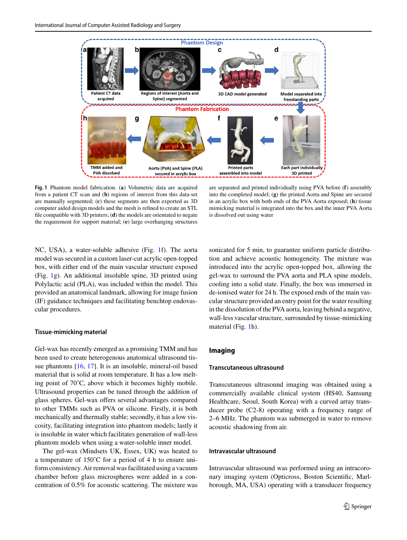

<span id="page-2-0"></span>**Fig. 1** Phantom model fabrication. (**a**) Volumetric data are acquired from a patient CT scan and (**b**) regions of interest from this data-set are manually segmented; (**c**) these segments are then exported as 3D computer aided design models and the mesh is refined to create an STL file compatible with 3D printers; (**d**) the models are orientated to negate the requirement for support material; (**e**) large overhanging structures

are separated and printed individually using PVA before (**f**) assembly into the completed model; (**g**) the printed Aorta and Spine are secured in an acrylic box with both ends of the PVA Aorta exposed; (**h**) tissue mimicking material is integrated into the box and the inner PVA Aorta is dissolved out using water

NC, USA), a water-soluble adhesive (Fig. [1f](#page-2-0)). The aorta model was secured in a custom laser-cut acrylic open-topped box, with either end of the main vascular structure exposed (Fig. [1g](#page-2-0)). An additional insoluble spine, 3D printed using Polylactic acid (PLA), was included within the model. This provided an anatomical landmark, allowing for image fusion (IF) guidance techniques and facilitating benchtop endovascular procedures.

#### **Tissue-mimicking material**

Gel-wax has recently emerged as a promising TMM and has been used to create heterogenous anatomical ultrasound tissue phantoms [\[16,](#page-6-9) [17\]](#page-6-10). It is an insoluble, mineral-oil based material that is solid at room temperature. It has a low melting point of 70˚C, above which it becomes highly mobile. Ultrasound properties can be tuned through the addition of glass spheres. Gel-wax offers several advantages compared to other TMMs such as PVA or silicone. Firstly, it is both mechanically and thermally stable; secondly, it has a low viscosity, facilitating integration into phantom models; lastly it is insoluble in water which facilitates generation of wall-less phantom models when using a water-soluble inner model.

The gel-wax (Mindsets UK, Essex, UK) was heated to a temperature of 150˚C for a period of 4 h to ensure uniform consistency. Air removal was facilitated using a vacuum chamber before glass microspheres were added in a concentration of 0.5% for acoustic scattering. The mixture was sonicated for 5 min, to guarantee uniform particle distribution and achieve acoustic homogeneity. The mixture was introduced into the acrylic open-topped box, allowing the gel-wax to surround the PVA aorta and PLA spine models, cooling into a solid state. Finally, the box was immersed in de-ionised water for 24 h. The exposed ends of the main vascular structure provided an entry point for the water resulting in the dissolution of the PVA aorta, leaving behind a negative, wall-less vascular structure, surrounded by tissue-mimicking material (Fig. [1h](#page-2-0)).

# **Imaging**

#### **Transcutaneous ultrasound**

Transcutaneous ultrasound imaging was obtained using a commercially available clinical system (HS40, Samsung Healthcare, Seoul, South Korea) with a curved array transducer probe (C2-8) operating with a frequency range of 2–6 MHz. The phantom was submerged in water to remove acoustic shadowing from air.

#### **Intravascular ultrasound**

Intravascular ultrasound was performed using an intracoronary imaging system (Opticross, Boston Scientific, Marlborough, MA, USA) operating with a transducer frequency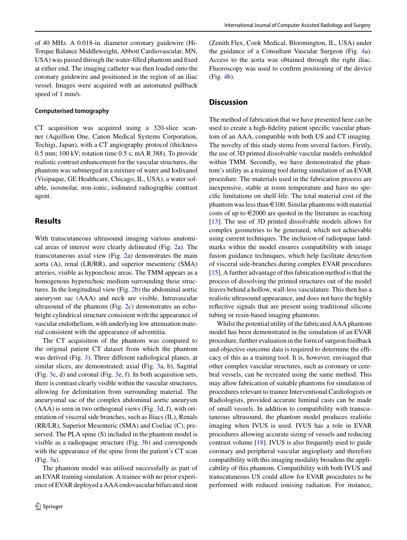of 40 MHz. A 0.018-in. diameter coronary guidewire (Hi-Torque Balance Middleweight, Abbott Cardiovascular, MN, USA) was passed through the water-filled phantom and fixed at either end. The imaging catheter was then loaded onto the coronary guidewire and positioned in the region of an iliac vessel. Images were acquired with an automated pullback speed of 1 mm/s.

#### **Computerised tomography**

CT acquisition was acquired using a 320-slice scanner (Aquillion One, Canon Medical Systems Corporation, Tochigi, Japan), with a CT angiography protocol (thickness 0.5 mm; 100 kV; rotation time 0.5 s; mA R 388). To provide realistic contrast enhancement for the vascular structures, the phantom was submerged in a mixture of water and Iodixanol (Visipaque, GE Healthcare, Chicago, IL, USA), a water soluble, isosmolar, non-ionic, iodinated radiographic contrast agent.

## **Results**

With transcutaneous ultrasound imaging various anatomical areas of interest were clearly delineated (Fig. [2a](#page-4-0)). The transcutaneous axial view (Fig. [2a](#page-4-0)) demonstrates the main aorta (A), renal (LR/RR), and superior mesenteric (SMA) arteries, visible as hypoechoic areas. The TMM appears as a homogenous hyperechoic medium surrounding these structures. In the longitudinal view (Fig. [2b](#page-4-0)) the abdominal aortic aneurysm sac (AAA) and neck are visible. Intravascular ultrasound of the phantom (Fig. [2c](#page-4-0)) demonstrates an echobright cylindrical structure consistent with the appearance of vascular endothelium, with underlying low attenuation material consistent with the appearance of adventitia.

The CT acquisition of the phantom was compared to the original patient CT dataset from which the phantom was derived (Fig. [3\)](#page-4-1). Three different radiological planes, at similar slices, are demonstrated; axial **(**Fig. [3a](#page-4-1), b), Sagittal (Fig. [3c](#page-4-1), d) and coronal (Fig. [3e](#page-4-1), f). In both acquisition sets, there is contrast clearly visible within the vascular structures, allowing for delimitation from surrounding material. The aneurysmal sac of the complex abdominal aortic aneurysm (AAA) is seen in two orthogonal views (Fig. [3d](#page-4-1), f), with orientation of visceral side branches, such as Iliacs (IL), Renals (RR/LR), Superior Mesenteric (SMA) and Coeliac (C), preserved. The PLA spine (S) included in the phantom model is visible as a radiopaque structure (Fig. [3b](#page-4-1)) and corresponds with the appearance of the spine from the patient's CT scan (Fig. [3a](#page-4-1)).

The phantom model was utilised successfully as part of an EVAR training simulation. A trainee with no prior experience of EVAR deployed a AAA endovascular bifurcated stent (Zenith Flex, Cook Medical, Bloomington, IL, USA) under the guidance of a Consultant Vascular Surgeon (Fig. [4a](#page-5-5)). Access to the aorta was obtained through the right iliac. Fluoroscopy was used to confirm positioning of the device (Fig. [4b](#page-5-5)).

## **Discussion**

The method of fabrication that we have presented here can be used to create a high-fidelity patient specific vascular phantom of an AAA, compatible with both US and CT imaging. The novelty of this study stems from several factors. Firstly, the use of 3D printed dissolvable vascular models embedded within TMM. Secondly, we have demonstrated the phantom's utility as a training tool during simulation of an EVAR procedure. The materials used in the fabrication process are inexpensive, stable at room temperature and have no specific limitations on shelf-life. The total material cost of the phantom was less than  $\bigoplus$  100. Similar phantoms with material costs of up to  $\epsilon$ 2000 are quoted in the literature as reaching [\[13\]](#page-6-11). The use of 3D printed dissolvable models allows for complex geometries to be generated, which not achievable using current techniques. The inclusion of radiopaque landmarks within the model ensures compatibility with image fusion guidance techniques, which help facilitate detection of visceral side-branches during complex EVAR procedures [\[15\]](#page-6-8). A further advantage of this fabrication method is that the process of dissolving the printed structures out of the model leaves behind a hollow, wall-less vasculature. This then has a realistic ultrasound appearance, and does not have the highly reflective signals that are present using traditional silicone tubing or resin-based imaging phantoms.

Whilst the potential utility of the fabricated AAA phantom model has been demonstrated in the simulation of an EVAR procedure, further evaluation in the form of surgeon feedback and objective outcome data is required to determine the efficacy of this as a training tool. It is, however, envisaged that other complex vascular structures, such as coronary or cerebral vessels, can be recreated using the same method. This may allow fabrication of suitable phantoms for simulation of procedures relevant to trainee Interventional Cardiologists or Radiologists, provided accurate luminal casts can be made of small vessels. In addition to compatibility with transcutaneous ultrasound, the phantom model produces realistic imaging when IVUS is used. IVUS has a role in EVAR procedures allowing accurate sizing of vessels and reducing contrast volume [\[18\]](#page-6-12). IVUS is also frequently used to guide coronary and peripheral vascular angioplasty and therefore compatibility with this imaging modality broadens the applicability of this phantom. Compatibility with both IVUS and transcutaneous US could allow for EVAR procedures to be performed with reduced ionising radiation. For instance,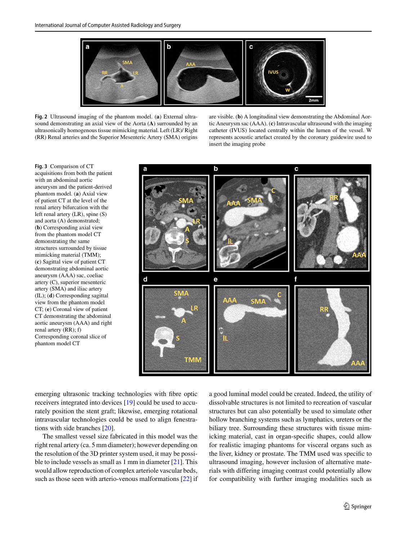

<span id="page-4-0"></span>**Fig. 2** Ultrasound imaging of the phantom model. (**a**) External ultrasound demonstrating an axial view of the Aorta (**A**) surrounded by an ultrasonically homogenous tissue mimicking material. Left (LR)/ Right (RR) Renal arteries and the Superior Mesenteric Artery (SMA) origins

are visible. (**b**) A longitudinal view demonstrating the Abdominal Aortic Aneurysm sac (AAA). (**c**) Intravascular ultrasound with the imaging catheter (IVUS) located centrally within the lumen of the vessel. W represents acoustic artefact created by the coronary guidewire used to insert the imaging probe

<span id="page-4-1"></span>**Fig. 3** Comparison of CT acquisitions from both the patient with an abdominal aortic aneurysm and the patient-derived phantom model. (**a**) Axial view of patient CT at the level of the renal artery bifurcation with the left renal artery (LR), spine (S) and aorta (A) demonstrated; (**b**) Corresponding axial view from the phantom model CT demonstrating the same structures surrounded by tissue mimicking material (TMM); (**c**) Sagittal view of patient CT demonstrating abdominal aortic aneurysm (AAA) sac, coeliac artery (C), superior mesenteric artery (SMA) and iliac artery (IL); (**d**) Corresponding sagittal view from the phantom model CT; (**e**) Coronal view of patient CT demonstrating the abdominal aortic aneurysm (AAA) and right renal artery (RR); f) Corresponding coronal slice of phantom model CT



emerging ultrasonic tracking technologies with fibre optic receivers integrated into devices [\[19\]](#page-6-13) could be used to accurately position the stent graft; likewise, emerging rotational intravascular technologies could be used to align fenestrations with side branches [\[20\]](#page-6-14).

The smallest vessel size fabricated in this model was the right renal artery (ca. 5 mm diameter); however depending on the resolution of the 3D printer system used, it may be possible to include vessels as small as 1 mm in diameter [\[21\]](#page-6-15). This would allow reproduction of complex arteriole vascular beds, such as those seen with arterio-venous malformations [\[22\]](#page-6-16) if a good luminal model could be created. Indeed, the utility of dissolvable structures is not limited to recreation of vascular structures but can also potentially be used to simulate other hollow branching systems such as lymphatics, ureters or the biliary tree. Surrounding these structures with tissue mimicking material, cast in organ-specific shapes, could allow for realistic imaging phantoms for visceral organs such as the liver, kidney or prostate. The TMM used was specific to ultrasound imaging, however inclusion of alternative materials with differing imaging contrast could potentially allow for compatibility with further imaging modalities such as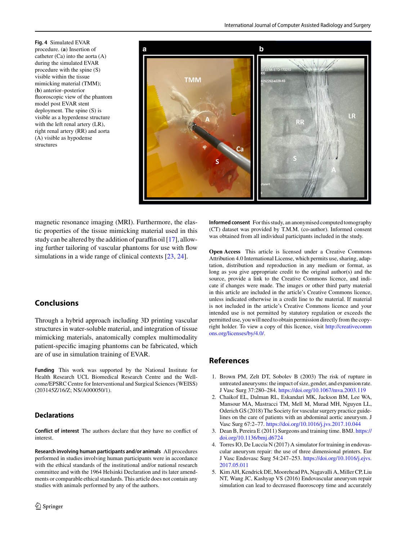<span id="page-5-5"></span>**Fig. 4** Simulated EVAR procedure. (**a**) Insertion of catheter (Ca) into the aorta (A) during the simulated EVAR procedure with the spine (S) visible within the tissue mimicking material (TMM); (**b**) anterior–posterior fluoroscopic view of the phantom model post EVAR stent deployment. The spine (S) is visible as a hyperdense structure with the left renal artery (LR), right renal artery (RR) and aorta (A) visible as hypodense structures



magnetic resonance imaging (MRI). Furthermore, the elastic properties of the tissue mimicking material used in this study can be altered by the addition of paraffin oil [\[17\]](#page-6-10), allowing further tailoring of vascular phantoms for use with flow simulations in a wide range of clinical contexts [\[23,](#page-6-17) [24\]](#page-6-18).

## **Conclusions**

Through a hybrid approach including 3D printing vascular structures in water-soluble material, and integration of tissue mimicking materials, anatomically complex multimodality patient-specific imaging phantoms can be fabricated, which are of use in simulation training of EVAR.

**Funding** This work was supported by the National Institute for Health Research UCL Biomedical Research Centre and the Wellcome/EPSRC Centre for Interventional and Surgical Sciences (WEISS) (203145Z/16/Z; NS/A000050/1).

## **Declarations**

**Conflict of interest** The authors declare that they have no conflict of interest.

**Research involving human participants and/or animals** All procedures performed in studies involving human participants were in accordance with the ethical standards of the institutional and/or national research committee and with the 1964 Helsinki Declaration and its later amendments or comparable ethical standards. This article does not contain any studies with animals performed by any of the authors.

**Informed consent** For this study, an anonymised computed tomography (CT) dataset was provided by T.M.M. (co-author). Informed consent was obtained from all individual participants included in the study.

**Open Access** This article is licensed under a Creative Commons Attribution 4.0 International License, which permits use, sharing, adaptation, distribution and reproduction in any medium or format, as long as you give appropriate credit to the original author(s) and the source, provide a link to the Creative Commons licence, and indicate if changes were made. The images or other third party material in this article are included in the article's Creative Commons licence, unless indicated otherwise in a credit line to the material. If material is not included in the article's Creative Commons licence and your intended use is not permitted by statutory regulation or exceeds the permitted use, you will need to obtain permission directly from the copyright holder. To view a copy of this licence, visit [http://creativecomm](http://creativecommons.org/licenses/by/4.0/) [ons.org/licenses/by/4.0/.](http://creativecommons.org/licenses/by/4.0/)

## **References**

- <span id="page-5-0"></span>1. Brown PM, Zelt DT, Sobolev B (2003) The risk of rupture in untreated aneurysms: the impact of size, gender, and expansion rate. J Vasc Surg 37:280–284. <https://doi.org/10.1067/mva.2003.119>
- <span id="page-5-1"></span>2. Chaikof EL, Dalman RL, Eskandari MK, Jackson BM, Lee WA, Mansour MA, Mastracci TM, Mell M, Murad MH, Nguyen LL, Oderich GS (2018) The Society for vascular surgery practice guidelines on the care of patients with an abdominal aortic aneurysm. J Vasc Surg 67:2–77. <https://doi.org/10.1016/j.jvs.2017.10.044>
- <span id="page-5-2"></span>3. [Dean B, Pereira E \(2011\) Surgeons and training time. BMJ.](https://doi.org/10.1136/bmj.d6724) https:// doi.org/10.1136/bmj.d6724
- <span id="page-5-3"></span>4. Torres IO, De Luccia N (2017) A simulator for training in endovascular aneurysm repair: the use of three dimensional printers. Eur [J Vasc Endovasc Surg 54:247–253.](https://doi.org/10.1016/j.ejvs.2017.05.011) https://doi.org/10.1016/j.ejvs. 2017.05.011
- <span id="page-5-4"></span>5. Kim AH, Kendrick DE, Moorehead PA, Nagavalli A, Miller CP, Liu NT, Wang JC, Kashyap VS (2016) Endovascular aneurysm repair simulation can lead to decreased fluoroscopy time and accurately